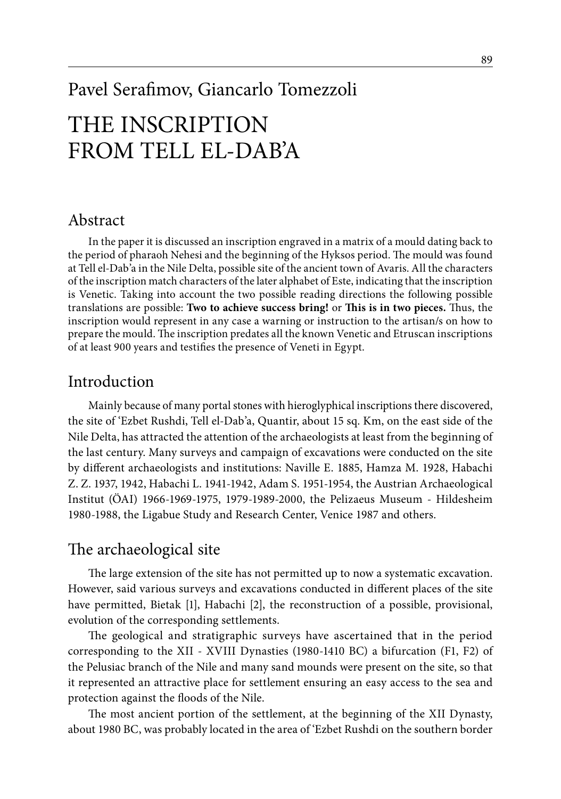## Pavel Serafimov, Giancarlo Tomezzoli

# THE INSCRIPTION FROM TELL EL-DAB'A

#### Abstract

In the paper it is discussed an inscription engraved in a matrix of a mould dating back to the period of pharaoh Nehesi and the beginning of the Hyksos period. The mould was found at Tell el-Dab'a in the Nile Delta, possible site of the ancient town of Avaris. All the characters of the inscription match characters of the later alphabet of Este, indicating that the inscription is Venetic. Taking into account the two possible reading directions the following possible translations are possible: **Two to achieve success bring!** or **This is in two pieces.** Thus, the inscription would represent in any case a warning or instruction to the artisan/s on how to prepare the mould. The inscription predates all the known Venetic and Etruscan inscriptions of at least 900 years and testifies the presence of Veneti in Egypt.

#### Introduction

Mainly because of many portal stones with hieroglyphical inscriptions there discovered, the site of 'Ezbet Rushdi, Tell el-Dab'a, Quantir, about 15 sq. Km, on the east side of the Nile Delta, has attracted the attention of the archaeologists at least from the beginning of the last century. Many surveys and campaign of excavations were conducted on the site by different archaeologists and institutions: Naville E. 1885, Hamza M. 1928, Habachi Z. Z. 1937, 1942, Habachi L. 1941-1942, Adam S. 1951-1954, the Austrian Archaeological Institut (ÖAI) 1966-1969-1975, 1979-1989-2000, the Pelizaeus Museum - Hildesheim 1980-1988, the Ligabue Study and Research Center, Venice 1987 and others.

#### The archaeological site

The large extension of the site has not permitted up to now a systematic excavation. However, said various surveys and excavations conducted in different places of the site have permitted, Bietak [1], Habachi [2], the reconstruction of a possible, provisional, evolution of the corresponding settlements.

The geological and stratigraphic surveys have ascertained that in the period corresponding to the XII - XVIII Dynasties (1980-1410 BC) a bifurcation (F1, F2) of the Pelusiac branch of the Nile and many sand mounds were present on the site, so that it represented an attractive place for settlement ensuring an easy access to the sea and protection against the floods of the Nile.

The most ancient portion of the settlement, at the beginning of the XII Dynasty, about 1980 BC, was probably located in the area of 'Ezbet Rushdi on the southern border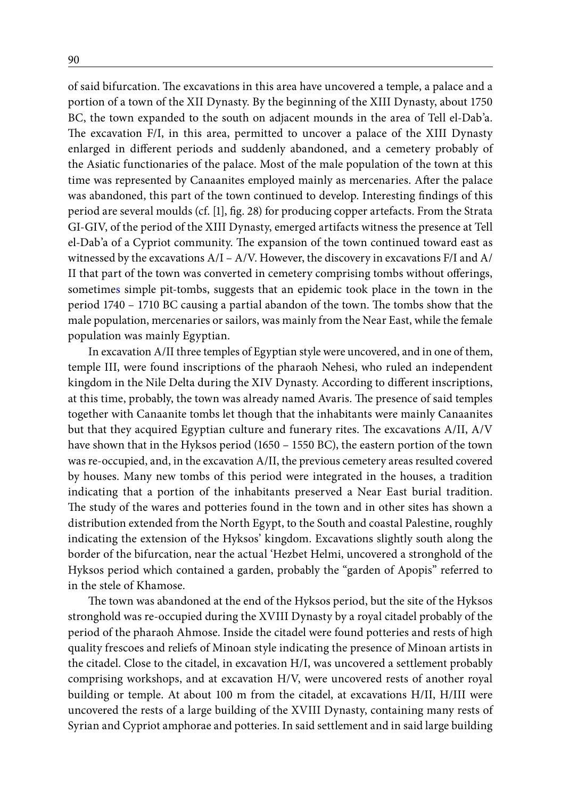of said bifurcation. The excavations in this area have uncovered a temple, a palace and a portion of a town of the XII Dynasty. By the beginning of the XIII Dynasty, about 1750 BC, the town expanded to the south on adjacent mounds in the area of Tell el-Dab'a. The excavation F/I, in this area, permitted to uncover a palace of the XIII Dynasty enlarged in different periods and suddenly abandoned, and a cemetery probably of the Asiatic functionaries of the palace. Most of the male population of the town at this time was represented by Canaanites employed mainly as mercenaries. After the palace was abandoned, this part of the town continued to develop. Interesting findings of this period are several moulds (cf. [1], fig. 28) for producing copper artefacts. From the Strata GI-GIV, of the period of the XIII Dynasty, emerged artifacts witness the presence at Tell el-Dab'a of a Cypriot community. The expansion of the town continued toward east as witnessed by the excavations  $A/I - A/V$ . However, the discovery in excavations  $F/I$  and  $A/I$ II that part of the town was converted in cemetery comprising tombs without offerings, sometimes simple pit-tombs, suggests that an epidemic took place in the town in the period 1740 – 1710 BC causing a partial abandon of the town. The tombs show that the male population, mercenaries or sailors, was mainly from the Near East, while the female population was mainly Egyptian.

In excavation A/II three temples of Egyptian style were uncovered, and in one of them, temple III, were found inscriptions of the pharaoh Nehesi, who ruled an independent kingdom in the Nile Delta during the XIV Dynasty. According to different inscriptions, at this time, probably, the town was already named Avaris. The presence of said temples together with Canaanite tombs let though that the inhabitants were mainly Canaanites but that they acquired Egyptian culture and funerary rites. The excavations A/II, A/V have shown that in the Hyksos period (1650 – 1550 BC), the eastern portion of the town was re-occupied, and, in the excavation A/II, the previous cemetery areas resulted covered by houses. Many new tombs of this period were integrated in the houses, a tradition indicating that a portion of the inhabitants preserved a Near East burial tradition. The study of the wares and potteries found in the town and in other sites has shown a distribution extended from the North Egypt, to the South and coastal Palestine, roughly indicating the extension of the Hyksos' kingdom. Excavations slightly south along the border of the bifurcation, near the actual 'Hezbet Helmi, uncovered a stronghold of the Hyksos period which contained a garden, probably the "garden of Apopis" referred to in the stele of Khamose.

The town was abandoned at the end of the Hyksos period, but the site of the Hyksos stronghold was re-occupied during the XVIII Dynasty by a royal citadel probably of the period of the pharaoh Ahmose. Inside the citadel were found potteries and rests of high quality frescoes and reliefs of Minoan style indicating the presence of Minoan artists in the citadel. Close to the citadel, in excavation H/I, was uncovered a settlement probably comprising workshops, and at excavation H/V, were uncovered rests of another royal building or temple. At about 100 m from the citadel, at excavations H/II, H/III were uncovered the rests of a large building of the XVIII Dynasty, containing many rests of Syrian and Cypriot amphorae and potteries. In said settlement and in said large building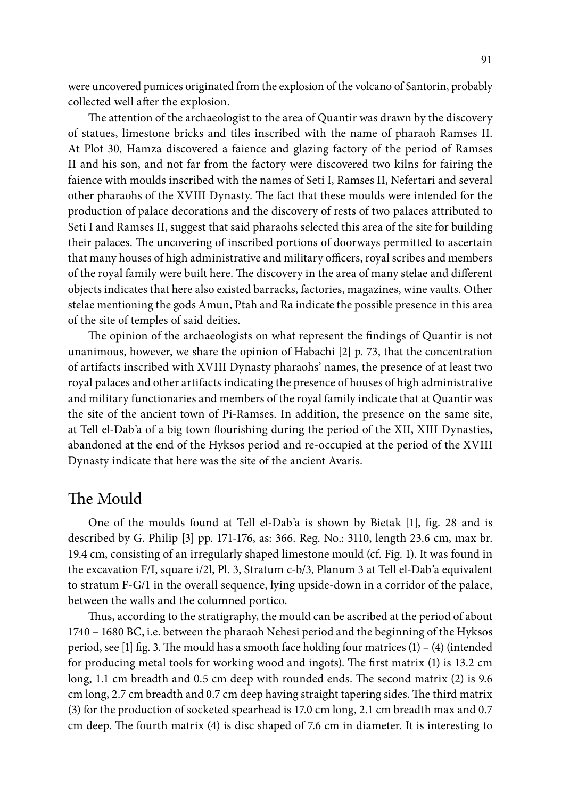were uncovered pumices originated from the explosion of the volcano of Santorin, probably collected well after the explosion.

The attention of the archaeologist to the area of Quantir was drawn by the discovery of statues, limestone bricks and tiles inscribed with the name of pharaoh Ramses II. At Plot 30, Hamza discovered a faience and glazing factory of the period of Ramses II and his son, and not far from the factory were discovered two kilns for fairing the faience with moulds inscribed with the names of Seti I, Ramses II, Nefertari and several other pharaohs of the XVIII Dynasty. The fact that these moulds were intended for the production of palace decorations and the discovery of rests of two palaces attributed to Seti I and Ramses II, suggest that said pharaohs selected this area of the site for building their palaces. The uncovering of inscribed portions of doorways permitted to ascertain that many houses of high administrative and military officers, royal scribes and members of the royal family were built here. The discovery in the area of many stelae and different objects indicates that here also existed barracks, factories, magazines, wine vaults. Other stelae mentioning the gods Amun, Ptah and Ra indicate the possible presence in this area of the site of temples of said deities.

The opinion of the archaeologists on what represent the findings of Quantir is not unanimous, however, we share the opinion of Habachi [2] p. 73, that the concentration of artifacts inscribed with XVIII Dynasty pharaohs' names, the presence of at least two royal palaces and other artifacts indicating the presence of houses of high administrative and military functionaries and members of the royal family indicate that at Quantir was the site of the ancient town of Pi-Ramses. In addition, the presence on the same site, at Tell el-Dab'a of a big town flourishing during the period of the XII, XIII Dynasties, abandoned at the end of the Hyksos period and re-occupied at the period of the XVIII Dynasty indicate that here was the site of the ancient Avaris.

#### The Mould

One of the moulds found at Tell el-Dab'a is shown by Bietak [1], fig. 28 and is described by G. Philip [3] pp. 171-176, as: 366. Reg. No.: 3110, length 23.6 cm, max br. 19.4 cm, consisting of an irregularly shaped limestone mould (cf. Fig. 1). It was found in the excavation F/I, square i/2l, Pl. 3, Stratum c-b/3, Planum 3 at Tell el-Dab'a equivalent to stratum F-G/1 in the overall sequence, lying upside-down in a corridor of the palace, between the walls and the columned portico.

Thus, according to the stratigraphy, the mould can be ascribed at the period of about 1740 – 1680 BC, i.e. between the pharaoh Nehesi period and the beginning of the Hyksos period, see [1] fig. 3. The mould has a smooth face holding four matrices  $(1) - (4)$  (intended for producing metal tools for working wood and ingots). The first matrix (1) is 13.2 cm long, 1.1 cm breadth and 0.5 cm deep with rounded ends. The second matrix (2) is 9.6 cm long, 2.7 cm breadth and 0.7 cm deep having straight tapering sides. The third matrix (3) for the production of socketed spearhead is 17.0 cm long, 2.1 cm breadth max and 0.7 cm deep. The fourth matrix (4) is disc shaped of 7.6 cm in diameter. It is interesting to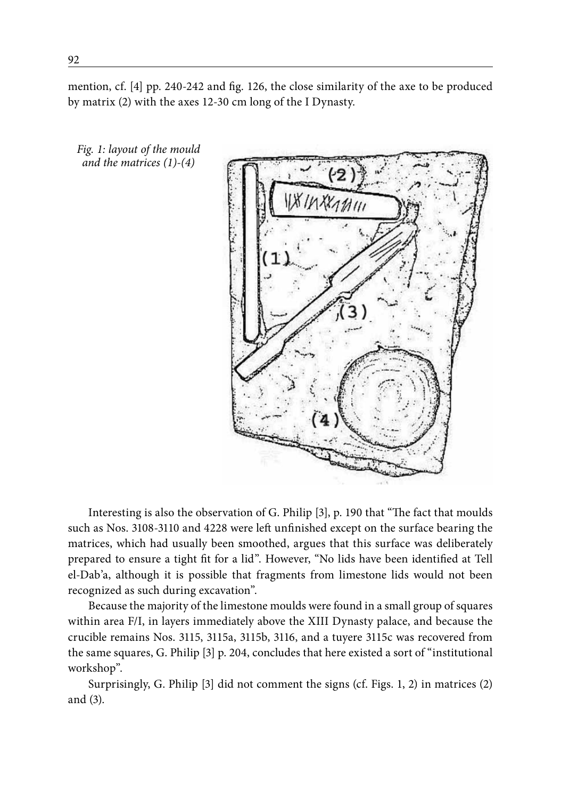mention, cf. [4] pp. 240-242 and fig. 126, the close similarity of the axe to be produced by matrix (2) with the axes 12-30 cm long of the I Dynasty.



*Fig. 1: layout of the mould and the matrices (1)-(4)*

Interesting is also the observation of G. Philip [3], p. 190 that "The fact that moulds such as Nos. 3108-3110 and 4228 were left unfinished except on the surface bearing the matrices, which had usually been smoothed, argues that this surface was deliberately prepared to ensure a tight fit for a lid". However, "No lids have been identified at Tell el-Dab'a, although it is possible that fragments from limestone lids would not been recognized as such during excavation".

Because the majority of the limestone moulds were found in a small group of squares within area F/I, in layers immediately above the XIII Dynasty palace, and because the crucible remains Nos. 3115, 3115a, 3115b, 3116, and a tuyere 3115c was recovered from the same squares, G. Philip [3] p. 204, concludes that here existed a sort of "institutional workshop".

Surprisingly, G. Philip [3] did not comment the signs (cf. Figs. 1, 2) in matrices (2) and (3).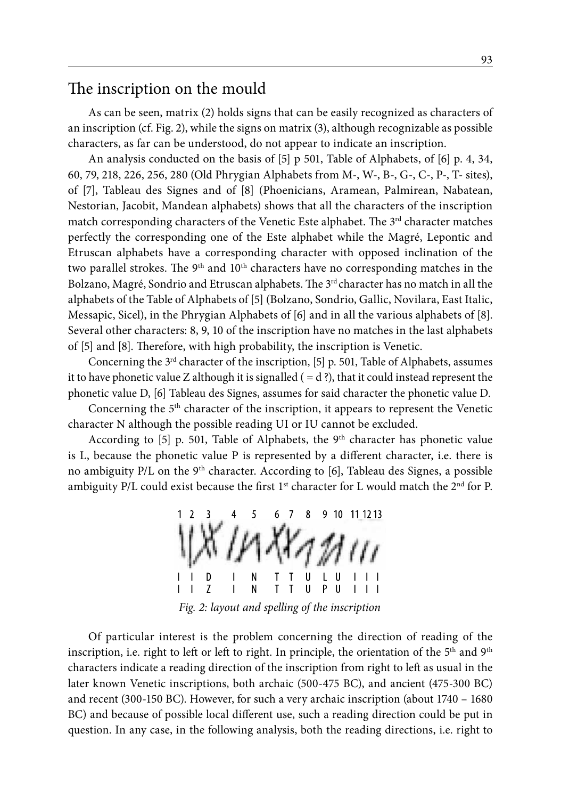#### The inscription on the mould

As can be seen, matrix (2) holds signs that can be easily recognized as characters of an inscription (cf. Fig. 2), while the signs on matrix (3), although recognizable as possible characters, as far can be understood, do not appear to indicate an inscription.

An analysis conducted on the basis of [5] p 501, Table of Alphabets, of [6] p. 4, 34, 60, 79, 218, 226, 256, 280 (Old Phrygian Alphabets from M-, W-, B-, G-, C-, P-, T- sites), of [7], Tableau des Signes and of [8] (Phoenicians, Aramean, Palmirean, Nabatean, Nestorian, Jacobit, Mandean alphabets) shows that all the characters of the inscription match corresponding characters of the Venetic Este alphabet. The 3<sup>rd</sup> character matches perfectly the corresponding one of the Este alphabet while the Magré, Lepontic and Etruscan alphabets have a corresponding character with opposed inclination of the two parallel strokes. The 9<sup>th</sup> and 10<sup>th</sup> characters have no corresponding matches in the Bolzano, Magré, Sondrio and Etruscan alphabets. The 3<sup>rd</sup> character has no match in all the alphabets of the Table of Alphabets of [5] (Bolzano, Sondrio, Gallic, Novilara, East Italic, Messapic, Sicel), in the Phrygian Alphabets of [6] and in all the various alphabets of [8]. Several other characters: 8, 9, 10 of the inscription have no matches in the last alphabets of [5] and [8]. Therefore, with high probability, the inscription is Venetic.

Concerning the 3rd character of the inscription, [5] p. 501, Table of Alphabets, assumes it to have phonetic value Z although it is signalled  $( = d ?)$ , that it could instead represent the phonetic value D, [6] Tableau des Signes, assumes for said character the phonetic value D.

Concerning the 5<sup>th</sup> character of the inscription, it appears to represent the Venetic character N although the possible reading UI or IU cannot be excluded.

According to [5] p. 501, Table of Alphabets, the 9<sup>th</sup> character has phonetic value is L, because the phonetic value P is represented by a different character, i.e. there is no ambiguity P/L on the 9<sup>th</sup> character. According to [6], Tableau des Signes, a possible ambiguity P/L could exist because the first  $1<sup>st</sup>$  character for L would match the  $2<sup>nd</sup>$  for P.



*Fig. 2: layout and spelling of the inscription*

Of particular interest is the problem concerning the direction of reading of the inscription, i.e. right to left or left to right. In principle, the orientation of the  $5<sup>th</sup>$  and  $9<sup>th</sup>$ characters indicate a reading direction of the inscription from right to left as usual in the later known Venetic inscriptions, both archaic (500-475 BC), and ancient (475-300 BC) and recent (300-150 BC). However, for such a very archaic inscription (about 1740 – 1680 BC) and because of possible local different use, such a reading direction could be put in question. In any case, in the following analysis, both the reading directions, i.e. right to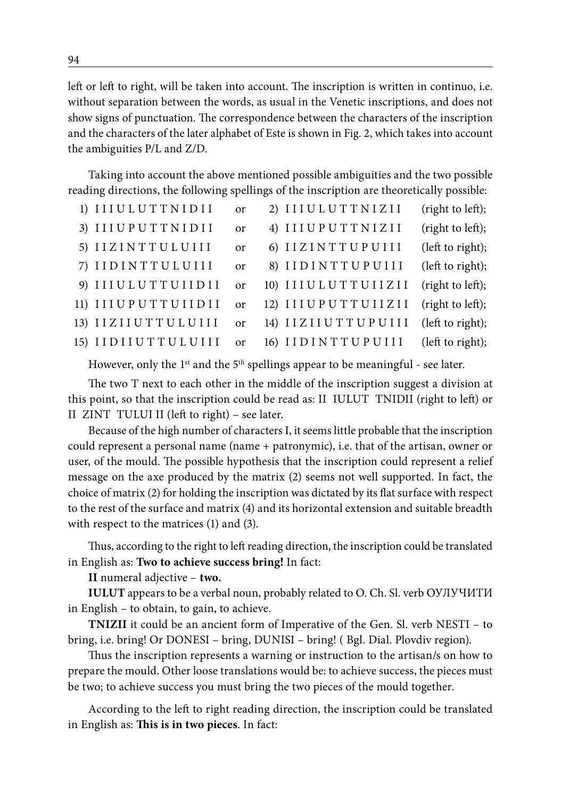left or left to right, will be taken into account. The inscription is written in continuo, i.e. without separation between the words, as usual in the Venetic inscriptions, and does not show signs of punctuation. The correspondence between the characters of the inscription and the characters of the later alphabet of Este is shown in Fig. 2, which takes into account the ambiguities P/L and Z/D.

Taking into account the above mentioned possible ambiguities and the two possible reading directions, the following spellings of the inscription are theoretically possible:

| 1) IIIULUTTNIDII   | <sub>or</sub> | 2) IIIULUTTNIZII   | (right to left); |
|--------------------|---------------|--------------------|------------------|
| 3) IIIUPUTTNIDII   | <sub>or</sub> | 4) IIIUPUTTNIZII   | (right to left); |
| 5) IIZINTTULUIII   | or            | 6) IIZINTTUPUIII   | (left to right); |
| 7) IIDINTTULUIII   | or            | 8) IIDINTTUPUIII   | (left to right); |
| 9) IIIULUTTUIIDII  | or            | 10) IIIULUTTUIIZII | (right to left); |
| 11) IIIUPUTTUIIDII | or            | 12) IIIUPUTTUIIZII | (right to left); |
| 13) IIZIIUTTULUIII | or            | 14) IIZIIUTTUPUIII | (left to right); |
| 15) IIDIIUTTULUIII | or            | 16) IIDINTTUPUIII  | (left to right); |

However, only the 1<sup>st</sup> and the 5<sup>th</sup> spellings appear to be meaningful - see later.

The two T next to each other in the middle of the inscription suggest a division at this point, so that the inscription could be read as: II IULUT TNIDII (right to left) or II ZINT TULUI II (left to right) – see later.

Because of the high number of characters I, it seems little probable that the inscription could represent a personal name (name + patronymic), i.e. that of the artisan, owner or user, of the mould. The possible hypothesis that the inscription could represent a relief message on the axe produced by the matrix (2) seems not well supported. In fact, the choice of matrix (2) for holding the inscription was dictated by its flat surface with respect to the rest of the surface and matrix (4) and its horizontal extension and suitable breadth with respect to the matrices (1) and (3).

Thus, according to the right to left reading direction, the inscription could be translated in English as: **Two to achieve success bring!** In fact:

**II** numeral adjective – **two.**

**IULUT** appears to be a verbal noun, probably related to O. Ch. Sl. verb ОУЛУЧИТИ in English – to obtain, to gain, to achieve.

**TNIZII** it could be an ancient form of Imperative of the Gen. Sl. verb NESTI – to bring, i.e. bring! Or DONESI – bring, DUNISI – bring! ( Bgl. Dial. Plovdiv region).

Thus the inscription represents a warning or instruction to the artisan/s on how to prepare the mould. Other loose translations would be: to achieve success, the pieces must be two; to achieve success you must bring the two pieces of the mould together.

According to the left to right reading direction, the inscription could be translated in English as: **This is in two pieces**. In fact: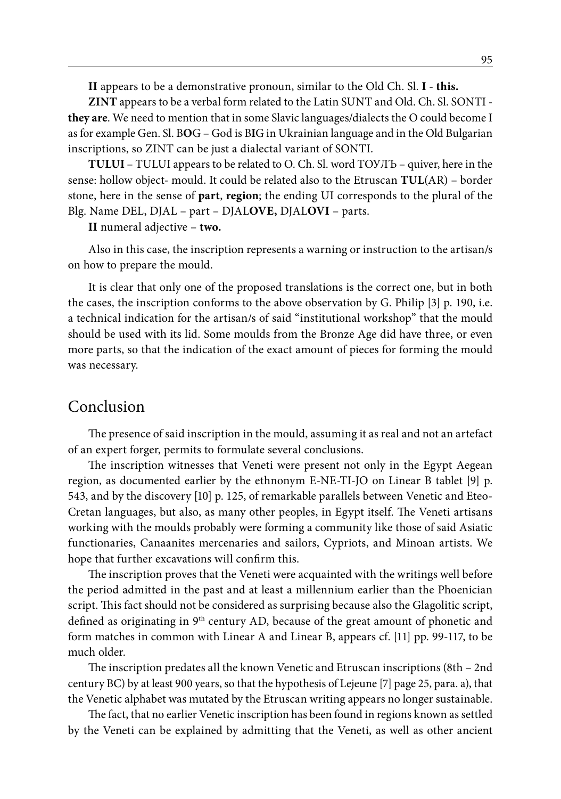**II** appears to be a demonstrative pronoun, similar to the Old Ch. Sl. **I - this.**

**ZINT** appears to be a verbal form related to the Latin SUNT and Old. Ch. Sl. SONTI **they are**. We need to mention that in some Slavic languages/dialects the O could become I as for example Gen. Sl. B**O**G – God is B**I**G in Ukrainian language and in the Old Bulgarian inscriptions, so ZINT can be just a dialectal variant of SONTI.

**TULUI** – TULUI appears to be related to O. Ch. Sl. word ТОУЛЪ – quiver, here in the sense: hollow object- mould. It could be related also to the Etruscan **TUL**(AR) – border stone, here in the sense of **part**, **region**; the ending UI corresponds to the plural of the Blg. Name DEL, DJAL – part – DJAL**OVE,** DJAL**OVI** – parts.

**II** numeral adjective – **two.**

Also in this case, the inscription represents a warning or instruction to the artisan/s on how to prepare the mould.

It is clear that only one of the proposed translations is the correct one, but in both the cases, the inscription conforms to the above observation by G. Philip [3] p. 190, i.e. a technical indication for the artisan/s of said "institutional workshop" that the mould should be used with its lid. Some moulds from the Bronze Age did have three, or even more parts, so that the indication of the exact amount of pieces for forming the mould was necessary.

#### Conclusion

The presence of said inscription in the mould, assuming it as real and not an artefact of an expert forger, permits to formulate several conclusions.

The inscription witnesses that Veneti were present not only in the Egypt Aegean region, as documented earlier by the ethnonym E-NE-TI-JO on Linear B tablet [9] p. 543, and by the discovery [10] p. 125, of remarkable parallels between Venetic and Eteo-Cretan languages, but also, as many other peoples, in Egypt itself. The Veneti artisans working with the moulds probably were forming a community like those of said Asiatic functionaries, Canaanites mercenaries and sailors, Cypriots, and Minoan artists. We hope that further excavations will confirm this.

The inscription proves that the Veneti were acquainted with the writings well before the period admitted in the past and at least a millennium earlier than the Phoenician script. This fact should not be considered as surprising because also the Glagolitic script, defined as originating in 9th century AD, because of the great amount of phonetic and form matches in common with Linear A and Linear B, appears cf. [11] pp. 99-117, to be much older.

The inscription predates all the known Venetic and Etruscan inscriptions (8th – 2nd century BC) by at least 900 years, so that the hypothesis of Lejeune [7] page 25, para. a), that the Venetic alphabet was mutated by the Etruscan writing appears no longer sustainable.

The fact, that no earlier Venetic inscription has been found in regions known as settled by the Veneti can be explained by admitting that the Veneti, as well as other ancient